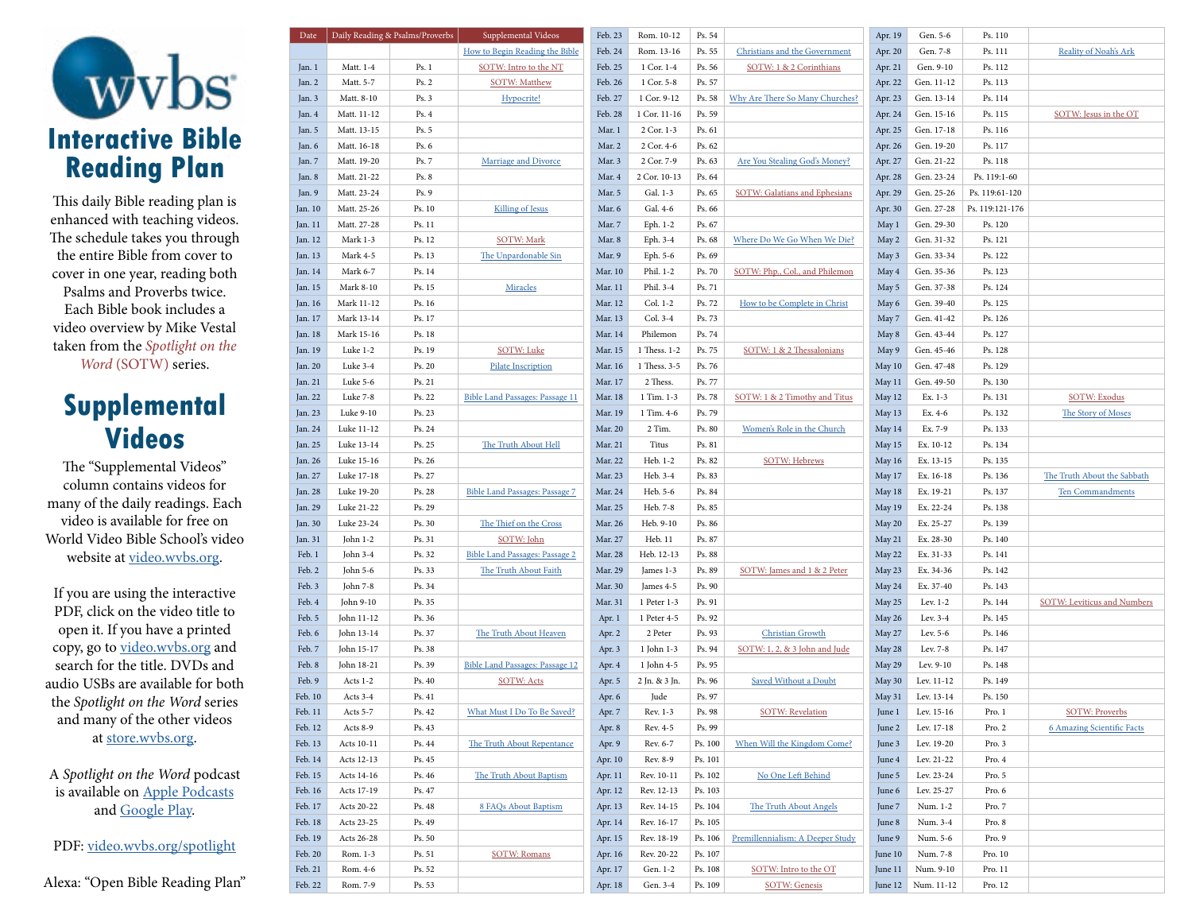

This daily Bible reading plan is enhanced with teaching videos. The schedule takes you through the entire Bible from cover to cover in one year, reading both Psalms and Proverbs twice. Each Bible book includes a video overview by Mike Vestal taken from the *Spotlight on the Word* (SOTW) series.

## **Supplemental Videos**

The "Supplemental Videos" column contains videos for many of the daily readings. Each video is available for free on World Video Bible School's video website at [video.wvbs.org.](https://video.wvbs.org)

If you are using the interactive PDF, click on the video title to open it. If you have a printed copy, go to [video.wvbs.org](https://video.wvbs.org) and search for the title. DVDs and audio USBs are available for both the *Spotlight on the Word* series and many of the other videos at [store.wvbs.org.](https://store.wvbs.org)

A *Spotlight on the Word* podcast is available on [Apple Podcasts](https://podcasts.apple.com/us/podcast/spotlight-on-the-word/id1326322522) and [Google Play](https://play.google.com/music/m/Iayujmmtd6hqxw4zehlhibxuye4?t=Spotlight_on_the_Word).

PDF: [video.wvbs.org/spotlight](https://video.wvbs.org/spotlight)

Alexa: "Open Bible Reading Plan"

| Date    |             | Daily Reading & Psalms/Proverbs | Supplemental Videos                    | Feb. 23 | Rom. 10-12    | Ps. 54  |                                      | Apr. 19 | Gen. 5-6             | Ps. 110         |                                    |
|---------|-------------|---------------------------------|----------------------------------------|---------|---------------|---------|--------------------------------------|---------|----------------------|-----------------|------------------------------------|
|         |             |                                 | How to Begin Reading the Bible         | Feb. 24 | Rom. 13-16    | Ps. 55  | <b>Christians and the Government</b> | Apr. 20 | Gen. 7-8             | Ps. 111         | <b>Reality of Noah's Ark</b>       |
| Jan. 1  | Matt. 1-4   | Ps.1                            | SOTW: Intro to the NT                  | Feb. 25 | 1 Cor. 1-4    | Ps. 56  | SOTW: 1 & 2 Corinthians              | Apr. 21 | Gen. 9-10            | Ps. 112         |                                    |
| Jan. 2  | Matt. 5-7   | Ps. 2                           | <b>SOTW: Matthew</b>                   | Feb. 26 | 1 Cor. 5-8    | Ps. 57  |                                      | Apr. 22 | Gen. 11-12           | Ps. 113         |                                    |
| Jan. 3  | Matt. 8-10  | Ps. 3                           | Hypocrite!                             | Feb. 27 | 1 Cor. 9-12   | Ps. 58  | Why Are There So Many Churches?      | Apr. 23 | Gen. 13-14           | Ps. 114         |                                    |
| Jan. 4  | Matt. 11-12 | Ps.4                            |                                        | Feb. 28 | 1 Cor. 11-16  | Ps. 59  |                                      | Apr. 24 | Gen. 15-16           | Ps. 115         | SOTW: Jesus in the OT              |
| Jan. 5  | Matt. 13-15 | Ps. 5                           |                                        | Mar. 1  | 2 Cor. 1-3    | Ps. 61  |                                      | Apr. 25 | Gen. 17-18           | Ps. 116         |                                    |
| Jan. 6  | Matt. 16-18 | Ps. 6                           |                                        | Mar. 2  | 2 Cor. 4-6    | Ps. 62  |                                      | Apr. 26 | Gen. 19-20           | Ps. 117         |                                    |
| Jan. 7  | Matt. 19-20 | Ps. 7                           | <b>Marriage and Divorce</b>            | Mar. 3  | 2 Cor. 7-9    | Ps. 63  | <b>Are You Stealing God's Money?</b> | Apr. 27 | Gen. 21-22           | Ps. 118         |                                    |
| Jan. 8  | Matt. 21-22 | Ps. 8                           |                                        | Mar. 4  | 2 Cor. 10-13  | Ps. 64  |                                      | Apr. 28 | Gen. 23-24           | Ps. 119:1-60    |                                    |
| Jan. 9  | Matt. 23-24 | Ps. 9                           |                                        | Mar. 5  | Gal. 1-3      | Ps. 65  | <b>SOTW: Galatians and Ephesians</b> | Apr. 29 | Gen. 25-26           | Ps. 119:61-120  |                                    |
| Jan. 10 | Matt. 25-26 | Ps. 10                          | <b>Killing of Jesus</b>                | Mar. 6  | Gal. 4-6      | Ps. 66  |                                      | Apr. 30 | Gen. 27-28           | Ps. 119:121-176 |                                    |
| Jan. 11 | Matt. 27-28 | Ps. 11                          |                                        | Mar. 7  | Eph. 1-2      | Ps. 67  |                                      | May 1   | Gen. 29-30           | Ps. 120         |                                    |
| Jan. 12 | Mark 1-3    | Ps. 12                          | <b>SOTW: Mark</b>                      | Mar. 8  | Eph. 3-4      | Ps. 68  | Where Do We Go When We Die?          | May 2   | Gen. 31-32           | Ps. 121         |                                    |
| Jan. 13 | Mark 4-5    | Ps. 13                          | The Unpardonable Sin                   | Mar. 9  | Eph. 5-6      | Ps. 69  |                                      | May 3   | Gen. 33-34           | Ps. 122         |                                    |
| Jan. 14 | Mark 6-7    | Ps. 14                          |                                        | Mar. 10 | Phil. 1-2     | Ps. 70  | SOTW: Php., Col., and Philemon       | May 4   | Gen. 35-36           | Ps. 123         |                                    |
| Jan. 15 | Mark 8-10   | Ps. 15                          | Miracles                               | Mar. 11 | Phil. 3-4     | Ps. 71  |                                      | May 5   | Gen. 37-38           | Ps. 124         |                                    |
| Jan. 16 | Mark 11-12  | Ps. 16                          |                                        | Mar. 12 | Col. 1-2      | Ps. 72  | How to be Complete in Christ         | May 6   | Gen. 39-40           | Ps. 125         |                                    |
| Jan. 17 | Mark 13-14  | Ps. 17                          |                                        | Mar. 13 | Col. 3-4      | Ps. 73  |                                      | May 7   | Gen. 41-42           | Ps. 126         |                                    |
| Jan. 18 | Mark 15-16  | Ps. 18                          |                                        | Mar. 14 | Philemon      | Ps. 74  |                                      |         | Gen. 43-44           | Ps. 127         |                                    |
|         | Luke 1-2    | Ps. 19                          | <b>SOTW: Luke</b>                      | Mar. 15 | 1 Thess. 1-2  | Ps. 75  | SOTW: 1 & 2 Thessalonians            | May 8   | Gen. 45-46           | Ps. 128         |                                    |
| Jan. 19 |             |                                 |                                        |         |               |         |                                      | May 9   |                      |                 |                                    |
| Jan. 20 | Luke 3-4    | Ps. 20                          | <b>Pilate Inscription</b>              | Mar. 16 | 1 Thess. 3-5  | Ps. 76  |                                      | May 10  | Gen. 47-48           | Ps. 129         |                                    |
| Jan. 21 | Luke 5-6    | Ps. 21                          |                                        | Mar. 17 | 2 Thess.      | Ps. 77  |                                      | May 11  | Gen. 49-50           | Ps. 130         |                                    |
| Jan. 22 | Luke 7-8    | Ps. 22                          | <b>Bible Land Passages: Passage 11</b> | Mar. 18 | 1 Tim. 1-3    | Ps. 78  | SOTW: 1 & 2 Timothy and Titus        | May 12  | Ex. 1-3              | Ps. 131         | <b>SOTW: Exodus</b>                |
| Jan. 23 | Luke 9-10   | Ps. 23                          |                                        | Mar. 19 | 1 Tim. 4-6    | Ps. 79  |                                      | May 13  | Ex. 4-6              | Ps. 132         | The Story of Moses                 |
| Jan. 24 | Luke 11-12  | Ps. 24                          |                                        | Mar. 20 | 2 Tim.        | Ps. 80  | Women's Role in the Church           | May 14  | Ex. 7-9              | Ps. 133         |                                    |
| Jan. 25 | Luke 13-14  | Ps. 25                          | The Truth About Hell                   | Mar. 21 | Titus         | Ps. 81  |                                      | May 15  | Ex. 10-12            | Ps. 134         |                                    |
| Jan. 26 | Luke 15-16  | Ps. 26                          |                                        | Mar. 22 | Heb. 1-2      | Ps. 82  | <b>SOTW: Hebrews</b>                 | May 16  | Ex. 13-15            | Ps. 135         |                                    |
| Jan. 27 | Luke 17-18  | Ps. 27                          |                                        | Mar. 23 | Heb. 3-4      | Ps. 83  |                                      | May 17  | Ex. 16-18            | Ps. 136         | The Truth About the Sabbath        |
| Jan. 28 | Luke 19-20  | Ps. 28                          | <b>Bible Land Passages: Passage 7</b>  | Mar. 24 | Heb. 5-6      | Ps. 84  |                                      | May 18  | Ex. 19-21            | Ps. 137         | Ten Commandments                   |
| Jan. 29 | Luke 21-22  | Ps. 29                          |                                        | Mar. 25 | Heb. 7-8      | Ps. 85  |                                      | May 19  | Ex. 22-24            | Ps. 138         |                                    |
| Jan. 30 | Luke 23-24  | Ps. 30                          | The Thief on the Cross                 | Mar. 26 | Heb. 9-10     | Ps. 86  |                                      | May 20  | Ex. 25-27            | Ps. 139         |                                    |
| Jan. 31 | John 1-2    | Ps. 31                          | SOTW: John                             | Mar. 27 | Heb. 11       | Ps. 87  |                                      | May 21  | Ex. 28-30            | Ps. 140         |                                    |
| Feb. 1  | John 3-4    | Ps. 32                          | <b>Bible Land Passages: Passage 2</b>  | Mar. 28 | Heb. 12-13    | Ps. 88  |                                      | May 22  | Ex. 31-33            | Ps. 141         |                                    |
| Feb. 2  | John 5-6    | Ps. 33                          | The Truth About Faith                  | Mar. 29 | James 1-3     | Ps. 89  | SOTW: James and 1 & 2 Peter          | May 23  | Ex. 34-36            | Ps. 142         |                                    |
| Feb. 3  | John 7-8    | Ps. 34                          |                                        | Mar. 30 | James 4-5     | Ps. 90  |                                      | May 24  | Ex. 37-40            | Ps. 143         |                                    |
| Feb. 4  | John 9-10   | Ps. 35                          |                                        | Mar. 31 | 1 Peter 1-3   | Ps. 91  |                                      | May 25  | Lev. $1-2$           | Ps. 144         | <b>SOTW: Leviticus and Numbers</b> |
| Feb. 5  | John 11-12  | Ps. 36                          |                                        | Apr. 1  | 1 Peter 4-5   | Ps. 92  |                                      | May 26  | Lev. 3-4             | Ps. 145         |                                    |
| Feb. 6  | John 13-14  | Ps. 37                          | The Truth About Heaven                 | Apr. 2  | 2 Peter       | Ps. 93  | <b>Christian Growth</b>              | May 27  | Lev. 5-6             | Ps. 146         |                                    |
| Feb. 7  | John 15-17  | Ps. 38                          |                                        | Apr. 3  | 1 John 1-3    | Ps. 94  | SOTW: 1, 2, & 3 John and Jude        | May 28  | Lev. 7-8             | Ps. 147         |                                    |
| Feb. 8  | John 18-21  | Ps. 39                          | <b>Bible Land Passages: Passage 12</b> | Apr. 4  | 1 John 4-5    | Ps. 95  |                                      | May 29  | Lev. 9-10            | Ps. 148         |                                    |
| Feb. 9  | Acts 1-2    | Ps. 40                          | <b>SOTW: Acts</b>                      | Apr. 5  | 2 Jn. & 3 Jn. | Ps. 96  | <b>Saved Without a Doubt</b>         | May 30  | Lev. 11-12           | Ps. 149         |                                    |
| Feb. 10 | Acts 3-4    | Ps. 41                          |                                        | Apr. 6  | Jude          | Ps. 97  |                                      | May 31  | Lev. 13-14           | Ps. 150         |                                    |
| Feb. 11 | Acts 5-7    | Ps. 42                          | <b>What Must I Do To Be Saved?</b>     | Apr. 7  | Rev. 1-3      | Ps. 98  | <b>SOTW: Revelation</b>              | June 1  | Lev. 15-16           | Pro. 1          | <b>SOTW: Proverbs</b>              |
| Feb. 12 | Acts 8-9    | Ps. 43                          |                                        | Apr. 8  | Rev. 4-5      | Ps. 99  |                                      | June 2  | Lev. 17-18           | Pro. 2          | <b>6 Amazing Scientific Facts</b>  |
| Feb. 13 | Acts 10-11  | Ps. 44                          | The Truth About Repentance             | Apr. 9  | Rev. 6-7      | Ps. 100 | When Will the Kingdom Come?          | June 3  | Lev. 19-20           | Pro. 3          |                                    |
| Feb. 14 | Acts 12-13  | Ps. 45                          |                                        | Apr. 10 | Rev. 8-9      | Ps. 101 |                                      | June 4  | Lev. 21-22           | Pro. 4          |                                    |
| Feb. 15 | Acts 14-16  | Ps. 46                          | The Truth About Baptism                | Apr. 11 | Rev. 10-11    | Ps. 102 | No One Left Behind                   | June 5  | Lev. 23-24           | Pro. 5          |                                    |
| Feb. 16 | Acts 17-19  | Ps. 47                          |                                        | Apr. 12 | Rev. 12-13    | Ps. 103 |                                      | June 6  | Lev. 25-27           | Pro. 6          |                                    |
| Feb. 17 | Acts 20-22  | Ps. 48                          | <b>8 FAQs About Baptism</b>            | Apr. 13 | Rev. 14-15    | Ps. 104 | The Truth About Angels               | June 7  | Num. 1-2             | Pro. 7          |                                    |
| Feb. 18 | Acts 23-25  | Ps. 49                          |                                        | Apr. 14 | Rev. 16-17    | Ps. 105 |                                      | June 8  | Num. 3-4             | Pro. 8          |                                    |
| Feb. 19 | Acts 26-28  | Ps. 50                          |                                        | Apr. 15 | Rev. 18-19    | Ps. 106 | Premillennialism: A Deeper Study     | June 9  | Num. 5-6             | Pro. 9          |                                    |
| Feb. 20 | Rom. 1-3    | Ps. 51                          | <b>SOTW: Romans</b>                    | Apr. 16 | Rev. 20-22    | Ps. 107 |                                      | June 10 | Num. 7-8             | Pro. 10         |                                    |
| Feb. 21 | Rom. 4-6    | Ps. 52                          |                                        | Apr. 17 | Gen. 1-2      | Ps. 108 | SOTW: Intro to the OT                | June 11 | Num. 9-10            | Pro. 11         |                                    |
| Feb. 22 | Rom. 7-9    | Ps. 53                          |                                        | Apr. 18 | Gen. 3-4      | Ps. 109 | <b>SOTW: Genesis</b>                 |         | June 12   Num. 11-12 | Pro. 12         |                                    |
|         |             |                                 |                                        |         |               |         |                                      |         |                      |                 |                                    |